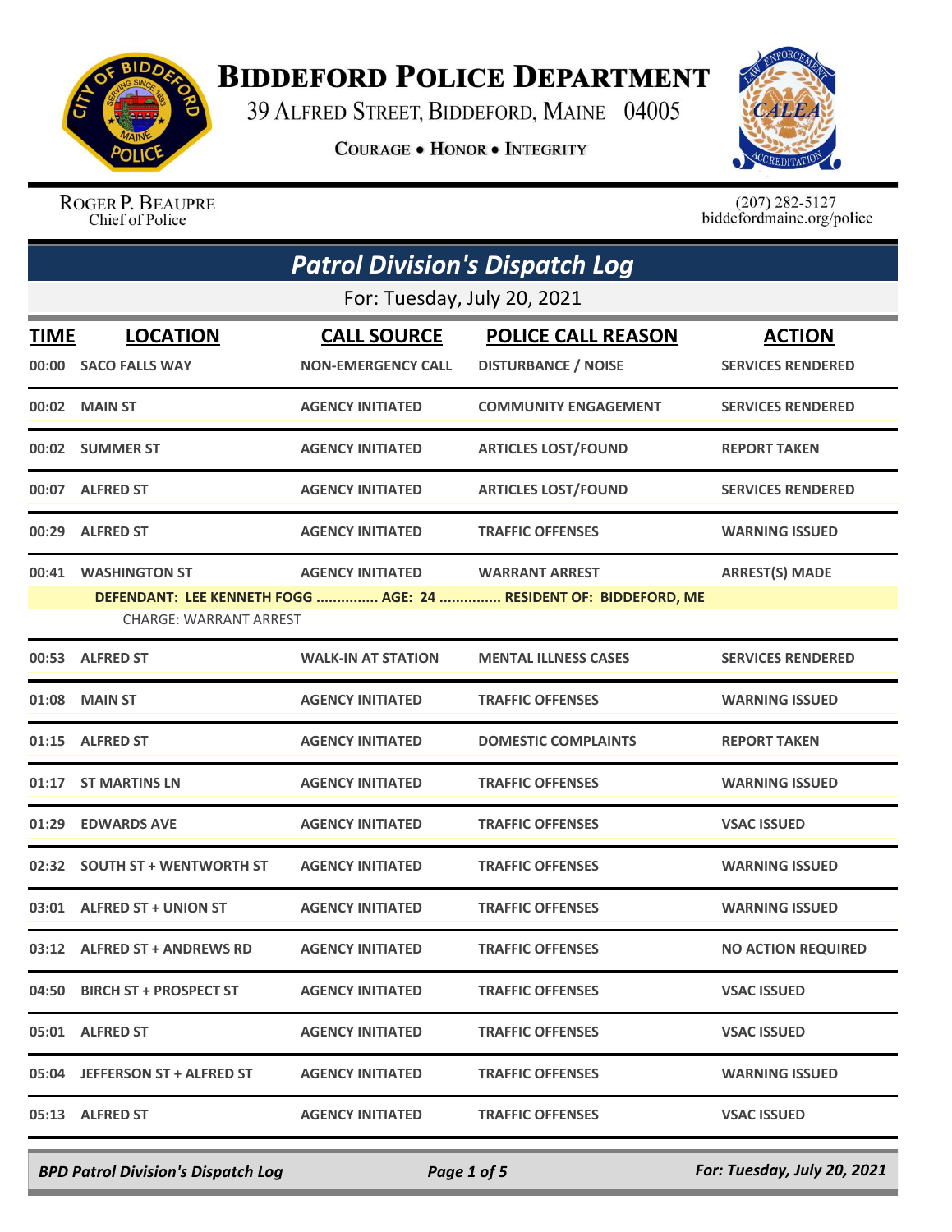

## **BIDDEFORD POLICE DEPARTMENT**

39 ALFRED STREET, BIDDEFORD, MAINE 04005

**COURAGE . HONOR . INTEGRITY** 



ROGER P. BEAUPRE Chief of Police

 $(207)$  282-5127<br>biddefordmaine.org/police

|       |                                                       | <b>Patrol Division's Dispatch Log</b>           |                                                                                           |                                           |
|-------|-------------------------------------------------------|-------------------------------------------------|-------------------------------------------------------------------------------------------|-------------------------------------------|
|       |                                                       | For: Tuesday, July 20, 2021                     |                                                                                           |                                           |
| TIME  | <b>LOCATION</b><br>00:00 SACO FALLS WAY               | <b>CALL SOURCE</b><br><b>NON-EMERGENCY CALL</b> | <b>POLICE CALL REASON</b><br><b>DISTURBANCE / NOISE</b>                                   | <b>ACTION</b><br><b>SERVICES RENDERED</b> |
| 00:02 | <b>MAIN ST</b>                                        | <b>AGENCY INITIATED</b>                         | <b>COMMUNITY ENGAGEMENT</b>                                                               | <b>SERVICES RENDERED</b>                  |
|       | 00:02 SUMMER ST                                       | <b>AGENCY INITIATED</b>                         | <b>ARTICLES LOST/FOUND</b>                                                                | <b>REPORT TAKEN</b>                       |
|       | 00:07 ALFRED ST                                       | <b>AGENCY INITIATED</b>                         | <b>ARTICLES LOST/FOUND</b>                                                                | <b>SERVICES RENDERED</b>                  |
|       | 00:29 ALFRED ST                                       | <b>AGENCY INITIATED</b>                         | <b>TRAFFIC OFFENSES</b>                                                                   | <b>WARNING ISSUED</b>                     |
| 00:41 | <b>WASHINGTON ST</b><br><b>CHARGE: WARRANT ARREST</b> | <b>AGENCY INITIATED</b>                         | <b>WARRANT ARREST</b><br>DEFENDANT: LEE KENNETH FOGG  AGE: 24  RESIDENT OF: BIDDEFORD, ME | <b>ARREST(S) MADE</b>                     |
|       | 00:53 ALFRED ST                                       | <b>WALK-IN AT STATION</b>                       | <b>MENTAL ILLNESS CASES</b>                                                               | <b>SERVICES RENDERED</b>                  |
| 01:08 | <b>MAIN ST</b>                                        | <b>AGENCY INITIATED</b>                         | <b>TRAFFIC OFFENSES</b>                                                                   | <b>WARNING ISSUED</b>                     |
|       | 01:15 ALFRED ST                                       | <b>AGENCY INITIATED</b>                         | <b>DOMESTIC COMPLAINTS</b>                                                                | <b>REPORT TAKEN</b>                       |
| 01:17 | <b>ST MARTINS LN</b>                                  | <b>AGENCY INITIATED</b>                         | <b>TRAFFIC OFFENSES</b>                                                                   | <b>WARNING ISSUED</b>                     |
| 01:29 | <b>EDWARDS AVE</b>                                    | <b>AGENCY INITIATED</b>                         | <b>TRAFFIC OFFENSES</b>                                                                   | <b>VSAC ISSUED</b>                        |
|       | 02:32 SOUTH ST + WENTWORTH ST                         | <b>AGENCY INITIATED</b>                         | <b>TRAFFIC OFFENSES</b>                                                                   | <b>WARNING ISSUED</b>                     |
| 03:01 | <b>ALFRED ST + UNION ST</b>                           | <b>AGENCY INITIATED</b>                         | <b>TRAFFIC OFFENSES</b>                                                                   | <b>WARNING ISSUED</b>                     |
|       | 03:12 ALFRED ST + ANDREWS RD                          | <b>AGENCY INITIATED</b>                         | <b>TRAFFIC OFFENSES</b>                                                                   | <b>NO ACTION REQUIRED</b>                 |
|       | 04:50 BIRCH ST + PROSPECT ST                          | <b>AGENCY INITIATED</b>                         | <b>TRAFFIC OFFENSES</b>                                                                   | <b>VSAC ISSUED</b>                        |
|       | 05:01 ALFRED ST                                       | <b>AGENCY INITIATED</b>                         | <b>TRAFFIC OFFENSES</b>                                                                   | <b>VSAC ISSUED</b>                        |
|       | 05:04 JEFFERSON ST + ALFRED ST                        | <b>AGENCY INITIATED</b>                         | <b>TRAFFIC OFFENSES</b>                                                                   | <b>WARNING ISSUED</b>                     |
|       | 05:13 ALFRED ST                                       | <b>AGENCY INITIATED</b>                         | <b>TRAFFIC OFFENSES</b>                                                                   | <b>VSAC ISSUED</b>                        |

*BPD Patrol Division's Dispatch Log Page 1 of 5 For: Tuesday, July 20, 2021*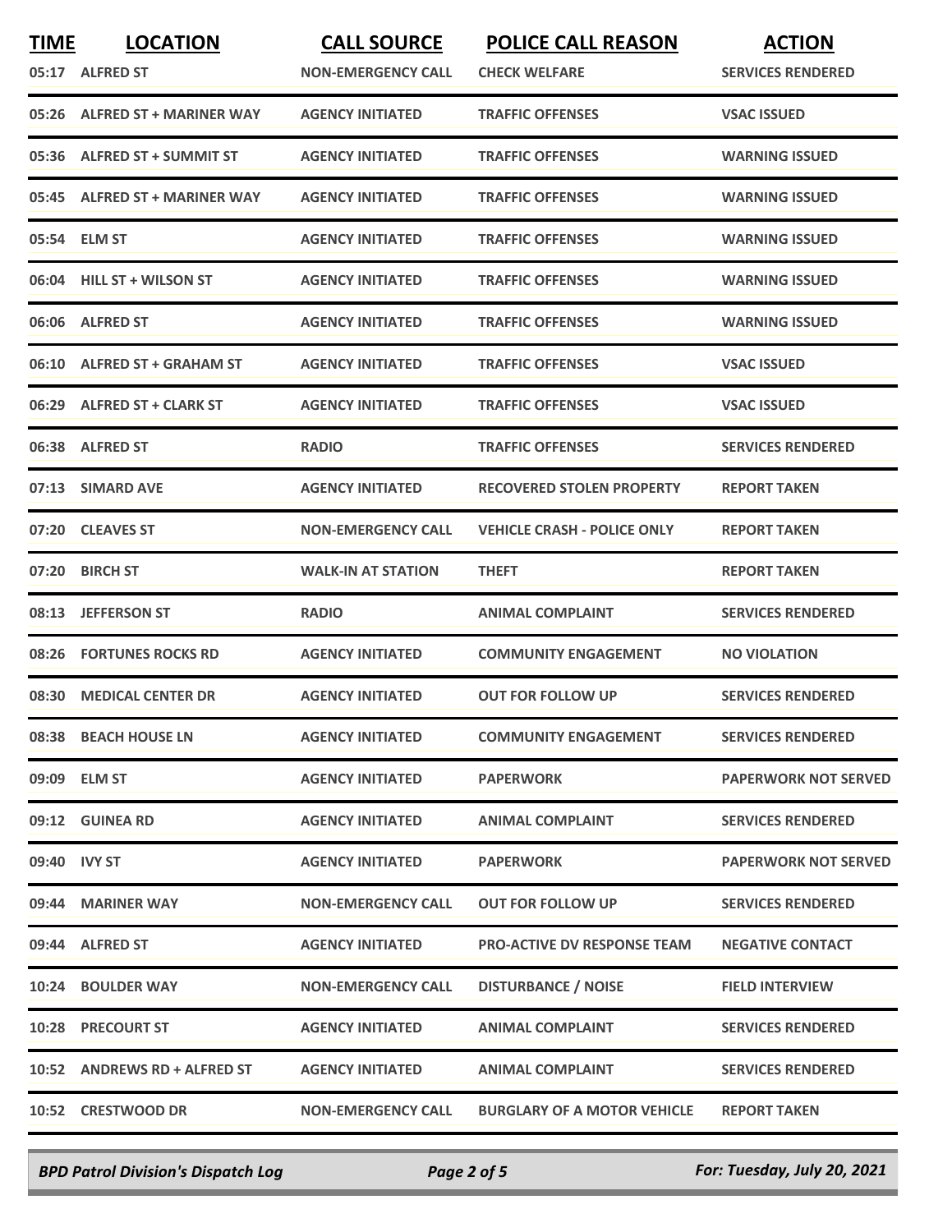| <b>TIME</b> | <b>LOCATION</b><br>05:17 ALFRED ST | <b>CALL SOURCE</b><br><b>NON-EMERGENCY CALL</b> | <b>POLICE CALL REASON</b><br><b>CHECK WELFARE</b> | <b>ACTION</b><br><b>SERVICES RENDERED</b> |
|-------------|------------------------------------|-------------------------------------------------|---------------------------------------------------|-------------------------------------------|
|             |                                    |                                                 | <b>TRAFFIC OFFENSES</b>                           |                                           |
| 05:26       | ALFRED ST + MARINER WAY            | <b>AGENCY INITIATED</b>                         |                                                   | <b>VSAC ISSUED</b>                        |
| 05:36       | <b>ALFRED ST + SUMMIT ST</b>       | <b>AGENCY INITIATED</b>                         | <b>TRAFFIC OFFENSES</b>                           | <b>WARNING ISSUED</b>                     |
| 05:45       | <b>ALFRED ST + MARINER WAY</b>     | <b>AGENCY INITIATED</b>                         | <b>TRAFFIC OFFENSES</b>                           | <b>WARNING ISSUED</b>                     |
|             | 05:54 ELM ST                       | <b>AGENCY INITIATED</b>                         | <b>TRAFFIC OFFENSES</b>                           | <b>WARNING ISSUED</b>                     |
|             | 06:04 HILL ST + WILSON ST          | <b>AGENCY INITIATED</b>                         | <b>TRAFFIC OFFENSES</b>                           | <b>WARNING ISSUED</b>                     |
| 06:06       | <b>ALFRED ST</b>                   | <b>AGENCY INITIATED</b>                         | <b>TRAFFIC OFFENSES</b>                           | <b>WARNING ISSUED</b>                     |
| 06:10       | <b>ALFRED ST + GRAHAM ST</b>       | <b>AGENCY INITIATED</b>                         | <b>TRAFFIC OFFENSES</b>                           | <b>VSAC ISSUED</b>                        |
|             | 06:29 ALFRED ST + CLARK ST         | <b>AGENCY INITIATED</b>                         | <b>TRAFFIC OFFENSES</b>                           | <b>VSAC ISSUED</b>                        |
|             | 06:38 ALFRED ST                    | <b>RADIO</b>                                    | <b>TRAFFIC OFFENSES</b>                           | <b>SERVICES RENDERED</b>                  |
| 07:13       | <b>SIMARD AVE</b>                  | <b>AGENCY INITIATED</b>                         | <b>RECOVERED STOLEN PROPERTY</b>                  | <b>REPORT TAKEN</b>                       |
| 07:20       | <b>CLEAVES ST</b>                  | <b>NON-EMERGENCY CALL</b>                       | <b>VEHICLE CRASH - POLICE ONLY</b>                | <b>REPORT TAKEN</b>                       |
| 07:20       | <b>BIRCH ST</b>                    | <b>WALK-IN AT STATION</b>                       | <b>THEFT</b>                                      | <b>REPORT TAKEN</b>                       |
| 08:13       | <b>JEFFERSON ST</b>                | <b>RADIO</b>                                    | <b>ANIMAL COMPLAINT</b>                           | <b>SERVICES RENDERED</b>                  |
| 08:26       | <b>FORTUNES ROCKS RD</b>           | <b>AGENCY INITIATED</b>                         | <b>COMMUNITY ENGAGEMENT</b>                       | <b>NO VIOLATION</b>                       |
| 08:30       | <b>MEDICAL CENTER DR</b>           | <b>AGENCY INITIATED</b>                         | <b>OUT FOR FOLLOW UP</b>                          | <b>SERVICES RENDERED</b>                  |
|             | 08:38 BEACH HOUSE LN               | <b>AGENCY INITIATED</b>                         | <b>COMMUNITY ENGAGEMENT</b>                       | <b>SERVICES RENDERED</b>                  |
|             | 09:09 ELM ST                       | <b>AGENCY INITIATED</b>                         | <b>PAPERWORK</b>                                  | <b>PAPERWORK NOT SERVED</b>               |
|             | 09:12 GUINEA RD                    | <b>AGENCY INITIATED</b>                         | <b>ANIMAL COMPLAINT</b>                           | <b>SERVICES RENDERED</b>                  |
|             | 09:40 IVY ST                       | <b>AGENCY INITIATED</b>                         | <b>PAPERWORK</b>                                  | <b>PAPERWORK NOT SERVED</b>               |
|             | 09:44 MARINER WAY                  | <b>NON-EMERGENCY CALL</b>                       | <b>OUT FOR FOLLOW UP</b>                          | <b>SERVICES RENDERED</b>                  |
|             | 09:44 ALFRED ST                    | <b>AGENCY INITIATED</b>                         | <b>PRO-ACTIVE DV RESPONSE TEAM</b>                | <b>NEGATIVE CONTACT</b>                   |
|             | 10:24 BOULDER WAY                  | <b>NON-EMERGENCY CALL</b>                       | <b>DISTURBANCE / NOISE</b>                        | <b>FIELD INTERVIEW</b>                    |
|             | <b>10:28 PRECOURT ST</b>           | <b>AGENCY INITIATED</b>                         | <b>ANIMAL COMPLAINT</b>                           | <b>SERVICES RENDERED</b>                  |
|             | 10:52 ANDREWS RD + ALFRED ST       | <b>AGENCY INITIATED</b>                         | <b>ANIMAL COMPLAINT</b>                           | <b>SERVICES RENDERED</b>                  |
|             | 10:52 CRESTWOOD DR                 | <b>NON-EMERGENCY CALL</b>                       | <b>BURGLARY OF A MOTOR VEHICLE</b>                | <b>REPORT TAKEN</b>                       |

*BPD Patrol Division's Dispatch Log Page 2 of 5 For: Tuesday, July 20, 2021*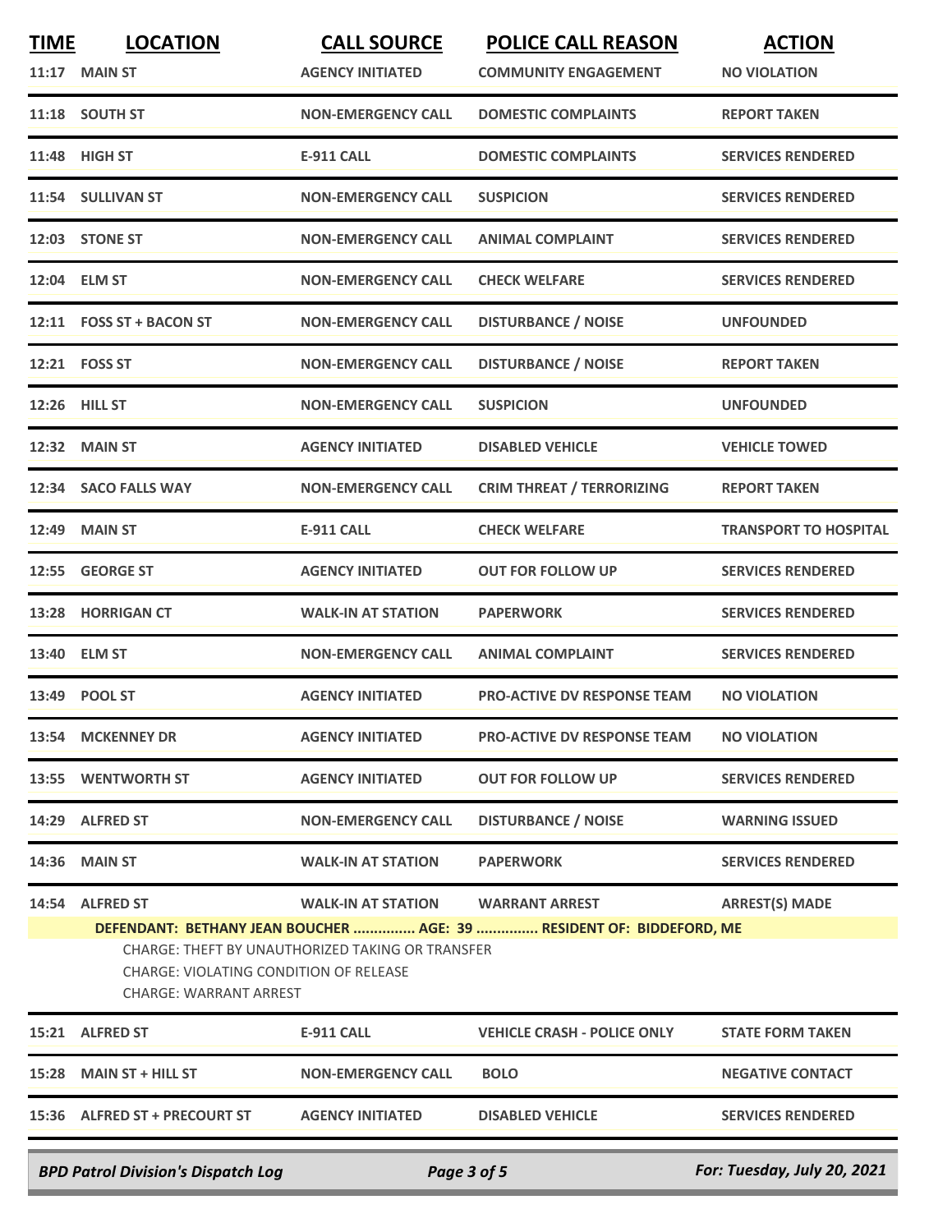| <b>TIME</b> | <b>LOCATION</b><br><b>11:17 MAIN ST</b>                                                           | <b>CALL SOURCE</b><br><b>AGENCY INITIATED</b>                                 | <b>POLICE CALL REASON</b><br><b>COMMUNITY ENGAGEMENT</b>                                      | <b>ACTION</b><br><b>NO VIOLATION</b> |
|-------------|---------------------------------------------------------------------------------------------------|-------------------------------------------------------------------------------|-----------------------------------------------------------------------------------------------|--------------------------------------|
|             | 11:18 SOUTH ST                                                                                    | <b>NON-EMERGENCY CALL</b>                                                     | <b>DOMESTIC COMPLAINTS</b>                                                                    | <b>REPORT TAKEN</b>                  |
| 11:48       | <b>HIGH ST</b>                                                                                    | <b>E-911 CALL</b>                                                             | <b>DOMESTIC COMPLAINTS</b>                                                                    | <b>SERVICES RENDERED</b>             |
|             | 11:54 SULLIVAN ST                                                                                 | <b>NON-EMERGENCY CALL</b>                                                     | <b>SUSPICION</b>                                                                              | <b>SERVICES RENDERED</b>             |
|             | 12:03 STONE ST                                                                                    | <b>NON-EMERGENCY CALL</b>                                                     | <b>ANIMAL COMPLAINT</b>                                                                       | <b>SERVICES RENDERED</b>             |
|             | 12:04 ELM ST                                                                                      | <b>NON-EMERGENCY CALL</b>                                                     | <b>CHECK WELFARE</b>                                                                          | <b>SERVICES RENDERED</b>             |
|             | 12:11 FOSS ST + BACON ST                                                                          | <b>NON-EMERGENCY CALL</b>                                                     | <b>DISTURBANCE / NOISE</b>                                                                    | <b>UNFOUNDED</b>                     |
|             | 12:21 FOSS ST                                                                                     | <b>NON-EMERGENCY CALL</b>                                                     | <b>DISTURBANCE / NOISE</b>                                                                    | <b>REPORT TAKEN</b>                  |
|             | <b>12:26 HILL ST</b>                                                                              | <b>NON-EMERGENCY CALL</b>                                                     | <b>SUSPICION</b>                                                                              | <b>UNFOUNDED</b>                     |
|             | 12:32 MAIN ST                                                                                     | <b>AGENCY INITIATED</b>                                                       | <b>DISABLED VEHICLE</b>                                                                       | <b>VEHICLE TOWED</b>                 |
| 12:34       | <b>SACO FALLS WAY</b>                                                                             | <b>NON-EMERGENCY CALL</b>                                                     | <b>CRIM THREAT / TERRORIZING</b>                                                              | <b>REPORT TAKEN</b>                  |
| 12:49       | <b>MAIN ST</b>                                                                                    | <b>E-911 CALL</b>                                                             | <b>CHECK WELFARE</b>                                                                          | <b>TRANSPORT TO HOSPITAL</b>         |
| 12:55       | <b>GEORGE ST</b>                                                                                  | <b>AGENCY INITIATED</b>                                                       | <b>OUT FOR FOLLOW UP</b>                                                                      | <b>SERVICES RENDERED</b>             |
| 13:28       | <b>HORRIGAN CT</b>                                                                                | <b>WALK-IN AT STATION</b>                                                     | <b>PAPERWORK</b>                                                                              | <b>SERVICES RENDERED</b>             |
| 13:40       | <b>ELM ST</b>                                                                                     | <b>NON-EMERGENCY CALL</b>                                                     | <b>ANIMAL COMPLAINT</b>                                                                       | <b>SERVICES RENDERED</b>             |
| 13:49       | <b>POOL ST</b>                                                                                    | <b>AGENCY INITIATED</b>                                                       | <b>PRO-ACTIVE DV RESPONSE TEAM</b>                                                            | <b>NO VIOLATION</b>                  |
|             | 13:54 MCKENNEY DR                                                                                 | <b>AGENCY INITIATED</b>                                                       | <b>PRO-ACTIVE DV RESPONSE TEAM</b>                                                            | <b>NO VIOLATION</b>                  |
|             | 13:55 WENTWORTH ST                                                                                | <b>AGENCY INITIATED</b>                                                       | <b>OUT FOR FOLLOW UP</b>                                                                      | <b>SERVICES RENDERED</b>             |
|             | 14:29 ALFRED ST                                                                                   | <b>NON-EMERGENCY CALL</b>                                                     | <b>DISTURBANCE / NOISE</b>                                                                    | <b>WARNING ISSUED</b>                |
|             | 14:36 MAIN ST                                                                                     | <b>WALK-IN AT STATION</b>                                                     | <b>PAPERWORK</b>                                                                              | <b>SERVICES RENDERED</b>             |
|             | 14:54 ALFRED ST<br><b>CHARGE: VIOLATING CONDITION OF RELEASE</b><br><b>CHARGE: WARRANT ARREST</b> | <b>WALK-IN AT STATION</b><br>CHARGE: THEFT BY UNAUTHORIZED TAKING OR TRANSFER | <b>WARRANT ARREST</b><br>DEFENDANT: BETHANY JEAN BOUCHER  AGE: 39  RESIDENT OF: BIDDEFORD, ME | <b>ARREST(S) MADE</b>                |
|             | 15:21 ALFRED ST                                                                                   | <b>E-911 CALL</b>                                                             | <b>VEHICLE CRASH - POLICE ONLY</b>                                                            | <b>STATE FORM TAKEN</b>              |
|             | 15:28 MAIN ST + HILL ST                                                                           | <b>NON-EMERGENCY CALL</b>                                                     | <b>BOLO</b>                                                                                   | <b>NEGATIVE CONTACT</b>              |
|             | 15:36 ALFRED ST + PRECOURT ST                                                                     | <b>AGENCY INITIATED</b>                                                       | <b>DISABLED VEHICLE</b>                                                                       | <b>SERVICES RENDERED</b>             |
|             | <b>BPD Patrol Division's Dispatch Log</b>                                                         | Page 3 of 5                                                                   |                                                                                               | For: Tuesday, July 20, 2021          |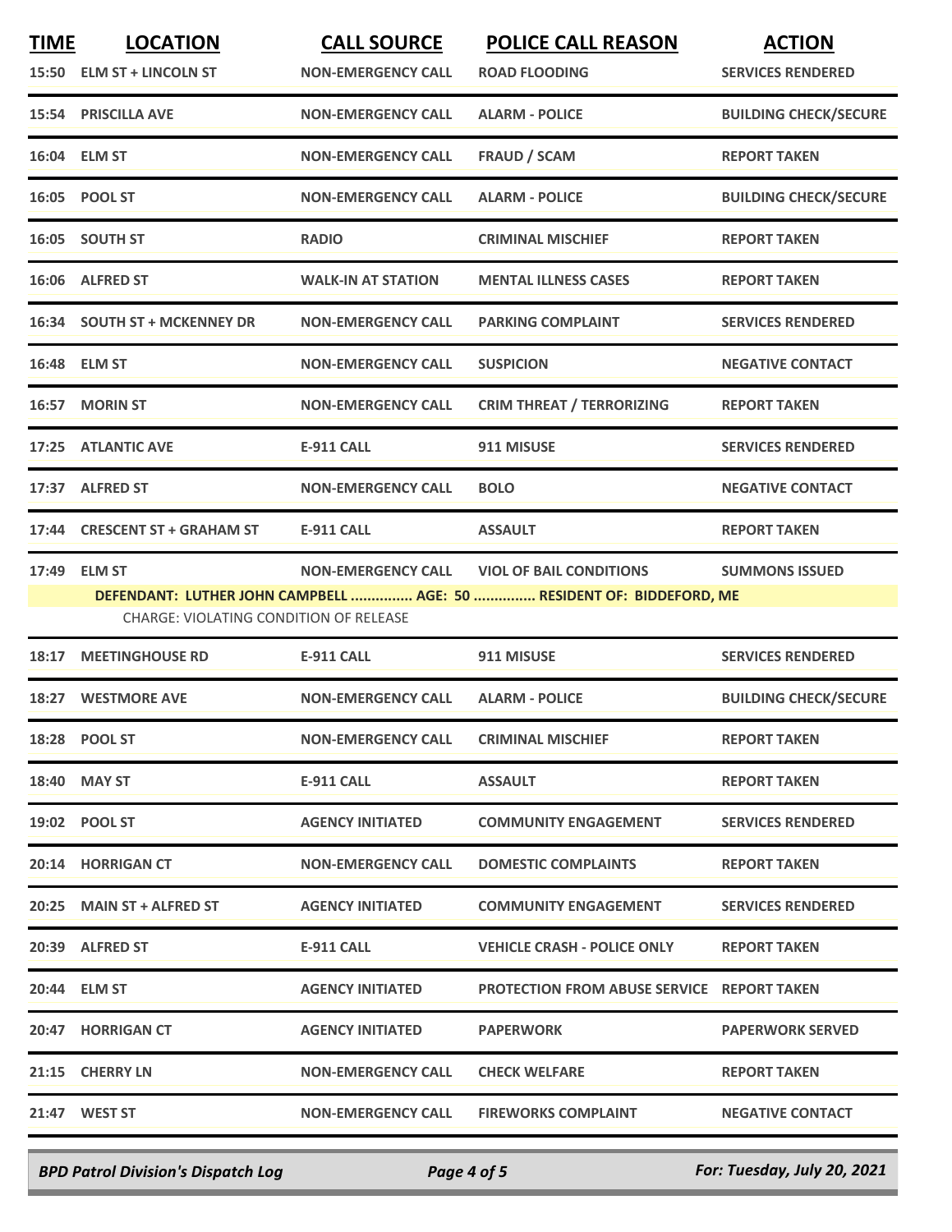| <b>TIME</b> | <b>LOCATION</b><br>15:50 ELM ST + LINCOLN ST            | <b>CALL SOURCE</b><br><b>NON-EMERGENCY CALL</b> | <b>POLICE CALL REASON</b><br><b>ROAD FLOODING</b>                                                      | <b>ACTION</b><br><b>SERVICES RENDERED</b> |
|-------------|---------------------------------------------------------|-------------------------------------------------|--------------------------------------------------------------------------------------------------------|-------------------------------------------|
|             | <b>15:54 PRISCILLA AVE</b>                              | <b>NON-EMERGENCY CALL</b>                       | <b>ALARM - POLICE</b>                                                                                  | <b>BUILDING CHECK/SECURE</b>              |
|             | 16:04 ELM ST                                            | <b>NON-EMERGENCY CALL</b>                       | <b>FRAUD / SCAM</b>                                                                                    | <b>REPORT TAKEN</b>                       |
|             | 16:05 POOL ST                                           | <b>NON-EMERGENCY CALL</b>                       | <b>ALARM - POLICE</b>                                                                                  | <b>BUILDING CHECK/SECURE</b>              |
|             | 16:05 SOUTH ST                                          | <b>RADIO</b>                                    | <b>CRIMINAL MISCHIEF</b>                                                                               | <b>REPORT TAKEN</b>                       |
|             | 16:06 ALFRED ST                                         | <b>WALK-IN AT STATION</b>                       | <b>MENTAL ILLNESS CASES</b>                                                                            | <b>REPORT TAKEN</b>                       |
|             | 16:34 SOUTH ST + MCKENNEY DR                            | <b>NON-EMERGENCY CALL</b>                       | <b>PARKING COMPLAINT</b>                                                                               | <b>SERVICES RENDERED</b>                  |
|             | 16:48 ELM ST                                            | <b>NON-EMERGENCY CALL</b>                       | <b>SUSPICION</b>                                                                                       | <b>NEGATIVE CONTACT</b>                   |
|             | 16:57 MORIN ST                                          | <b>NON-EMERGENCY CALL</b>                       | <b>CRIM THREAT / TERRORIZING</b>                                                                       | <b>REPORT TAKEN</b>                       |
|             | 17:25 ATLANTIC AVE                                      | <b>E-911 CALL</b>                               | 911 MISUSE                                                                                             | <b>SERVICES RENDERED</b>                  |
|             | 17:37 ALFRED ST                                         | <b>NON-EMERGENCY CALL</b>                       | <b>BOLO</b>                                                                                            | <b>NEGATIVE CONTACT</b>                   |
| 17:44       | <b>CRESCENT ST + GRAHAM ST</b>                          | <b>E-911 CALL</b>                               | <b>ASSAULT</b>                                                                                         | <b>REPORT TAKEN</b>                       |
| 17:49       | <b>ELM ST</b><br>CHARGE: VIOLATING CONDITION OF RELEASE | <b>NON-EMERGENCY CALL</b>                       | <b>VIOL OF BAIL CONDITIONS</b><br>DEFENDANT: LUTHER JOHN CAMPBELL  AGE: 50  RESIDENT OF: BIDDEFORD, ME | <b>SUMMONS ISSUED</b>                     |
| 18:17       | <b>MEETINGHOUSE RD</b>                                  | E-911 CALL                                      | 911 MISUSE                                                                                             | <b>SERVICES RENDERED</b>                  |
| 18:27       | <b>WESTMORE AVE</b>                                     | <b>NON-EMERGENCY CALL</b>                       | <b>ALARM - POLICE</b>                                                                                  | <b>BUILDING CHECK/SECURE</b>              |
|             | 18:28 POOL ST                                           | <b>NON-EMERGENCY CALL</b>                       | <b>CRIMINAL MISCHIEF</b>                                                                               | <b>REPORT TAKEN</b>                       |
|             | 18:40 MAY ST                                            | E-911 CALL                                      | <b>ASSAULT</b>                                                                                         | <b>REPORT TAKEN</b>                       |
|             | 19:02 POOL ST                                           | <b>AGENCY INITIATED</b>                         | <b>COMMUNITY ENGAGEMENT</b>                                                                            | <b>SERVICES RENDERED</b>                  |
|             | 20:14 HORRIGAN CT                                       | <b>NON-EMERGENCY CALL</b>                       | <b>DOMESTIC COMPLAINTS</b>                                                                             | <b>REPORT TAKEN</b>                       |
|             | 20:25 MAIN ST + ALFRED ST                               | <b>AGENCY INITIATED</b>                         | <b>COMMUNITY ENGAGEMENT</b>                                                                            | <b>SERVICES RENDERED</b>                  |
|             | 20:39 ALFRED ST                                         | E-911 CALL                                      | <b>VEHICLE CRASH - POLICE ONLY</b>                                                                     | <b>REPORT TAKEN</b>                       |
|             | 20:44 ELM ST                                            | <b>AGENCY INITIATED</b>                         | <b>PROTECTION FROM ABUSE SERVICE REPORT TAKEN</b>                                                      |                                           |
|             | 20:47 HORRIGAN CT                                       | <b>AGENCY INITIATED</b>                         | <b>PAPERWORK</b>                                                                                       | <b>PAPERWORK SERVED</b>                   |
|             | 21:15 CHERRY LN                                         | <b>NON-EMERGENCY CALL</b>                       | <b>CHECK WELFARE</b>                                                                                   | <b>REPORT TAKEN</b>                       |
|             | 21:47 WEST ST                                           | <b>NON-EMERGENCY CALL</b>                       | <b>FIREWORKS COMPLAINT</b>                                                                             | <b>NEGATIVE CONTACT</b>                   |
|             |                                                         |                                                 |                                                                                                        |                                           |

*BPD Patrol Division's Dispatch Log Page 4 of 5 For: Tuesday, July 20, 2021*